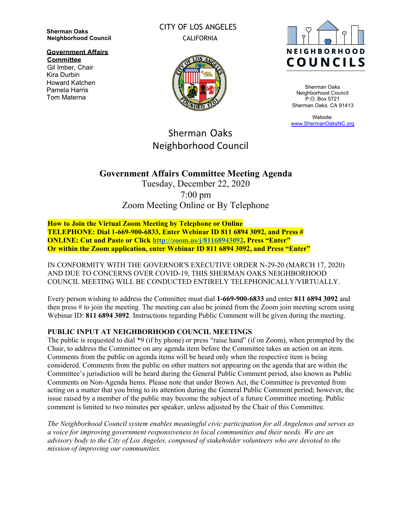**Sherman Oaks Neighborhood Council**

**Government Affairs Committee**

Gil Imber, Chair Kira Durbin Howard Katchen Pamela Harris Tom Materna

CITY OF LOS ANGELES CALIFORNIA



Sherman Oaks Neighborhood Council P.O. Box 5721 Sherman Oaks, CA 91413

Website: [www.ShermanOaksNC.org](http://www.shermanoaksnc.org/)

# Sherman Oaks Neighborhood Council

## **Government Affairs Committee Meeting Agenda**

Tuesday, December 22, 2020 7:00 pm Zoom Meeting Online or By Telephone

**How to Join the Virtual Zoom Meeting by Telephone or Online TELEPHONE: Dial 1-669-900-6833, Enter Webinar ID 811 6894 3092, and Press # ONLINE: Cut and Paste or Click <http://zoom.us/j/81168943092>, Press "Enter" Or within the Zoom application, enter Webinar ID 811 6894 3092, and Press "Enter"**

IN CONFORMITY WITH THE GOVERNOR'S EXECUTIVE ORDER N-29-20 (MARCH 17, 2020) AND DUE TO CONCERNS OVER COVID-19, THIS SHERMAN OAKS NEIGHBORHOOD COUNCIL MEETING WILL BE CONDUCTED ENTIRELY TELEPHONICALLY/VIRTUALLY.

Every person wishing to address the Committee must dial **1-669-900-6833** and enter **811 6894 3092** and then press # to join the meeting. The meeting can also be joined from the Zoom join meeting screen using Webinar ID: **811 6894 3092**. Instructions regarding Public Comment will be given during the meeting.

#### **PUBLIC INPUT AT NEIGHBORHOOD COUNCIL MEETINGS**

The public is requested to dial \*9 (if by phone) or press "raise hand" (if on Zoom), when prompted by the Chair, to address the Committee on any agenda item before the Committee takes an action on an item. Comments from the public on agenda items will be heard only when the respective item is being considered. Comments from the public on other matters not appearing on the agenda that are within the Committee's jurisdiction will be heard during the General Public Comment period, also known as Public Comments on Non-Agenda Items. Please note that under Brown Act, the Committee is prevented from acting on a matter that you bring to its attention during the General Public Comment period; however, the issue raised by a member of the public may become the subject of a future Committee meeting. Public comment is limited to two minutes per speaker, unless adjusted by the Chair of this Committee.

*The Neighborhood Council system enables meaningful civic participation for all Angelenos and serves as a voice for improving government responsiveness to local communities and their needs. We are an advisory body to the City of Los Angeles, composed of stakeholder volunteers who are devoted to the mission of improving our communities.*

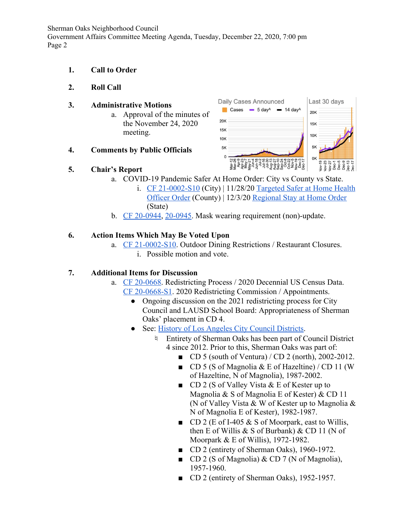Sherman Oaks Neighborhood Council Government Affairs Committee Meeting Agenda, Tuesday, December 22, 2020, 7:00 pm Page 2

- **1. Call to Order**
- **2. Roll Call**

#### **3. Administrative Motions**

a. Approval of the minutes of the November 24, 2020 meeting.



## **5. Chair's Report**



- a. COVID-19 Pandemic Safer At Home Order: City vs County vs State.
	- i.  $CF$  21-0002-S10 (City) | 11/28/20 [Targeted Safer at Home Health](http://publichealth.lacounty.gov/media/coronavirus/docs/HOO/HOO_SaferatHome_SurgeResponse.pdf) [Officer Order](http://publichealth.lacounty.gov/media/coronavirus/docs/HOO/HOO_SaferatHome_SurgeResponse.pdf) (County) | 12/3/20 [Regional Stay at Home Order](https://www.gov.ca.gov/wp-content/uploads/2020/12/12.3.20-Stay-at-Home-Order-ICU-Scenario.pdf) (State)
- b. [CF 20-0944](https://cityclerk.lacity.org/lacityclerkconnect/index.cfm?fa=ccfi.viewrecord&cfnumber=20-0944), [20-0945](https://cityclerk.lacity.org/lacityclerkconnect/index.cfm?fa=ccfi.viewrecord&cfnumber=20-0945). Mask wearing requirement (non)-update.

## **6. Action Items Which May Be Voted Upon**

a. [CF 21-0002-S10](https://cityclerk.lacity.org/lacityclerkconnect/index.cfm?fa=ccfi.viewrecord&cfnumber=21-0002-S10). Outdoor Dining Restrictions / Restaurant Closures. i. Possible motion and vote.

## **7. Additional Items for Discussion**

- a. [CF 20-0668](https://cityclerk.lacity.org/lacityclerkconnect/index.cfm?fa=ccfi.viewrecord&cfnumber=20-0668). Redistricting Process / 2020 Decennial US Census Data. [CF 20-0668-S1](https://cityclerk.lacity.org/lacityclerkconnect/index.cfm?fa=ccfi.viewrecord&cfnumber=20-0668-S1). 2020 Redistricting Commission / Appointments.
	- Ongoing discussion on the 2021 redistricting process for City Council and LAUSD School Board: Appropriateness of Sherman Oaks' placement in CD 4.
	- See: [History of Los Angeles City Council Districts](https://clerk.lacity.org/city-archives-and-records-center/maps).
		- ♮ Entirety of Sherman Oaks has been part of Council District 4 since 2012. Prior to this, Sherman Oaks was part of:
			- $\Box$  CD 5 (south of Ventura) / CD 2 (north), 2002-2012.
			- $\Box$  CD 5 (S of Magnolia & E of Hazeltine) / CD 11 (W) of Hazeltine, N of Magnolia), 1987-2002.
			- $\Box$  CD 2 (S of Valley Vista & E of Kester up to Magnolia & S of Magnolia E of Kester) & CD 11 (N of Valley Vista & W of Kester up to Magnolia & N of Magnolia E of Kester), 1982-1987.
			- $\Box$  CD 2 (E of I-405 & S of Moorpark, east to Willis, then E of Willis  $&$  S of Burbank)  $&$  CD 11 (N of Moorpark & E of Willis), 1972-1982.
			- CD 2 (entirety of Sherman Oaks), 1960-1972.
			- CD 2 (S of Magnolia) & CD 7 (N of Magnolia), 1957-1960.
			- CD 2 (entirety of Sherman Oaks), 1952-1957.